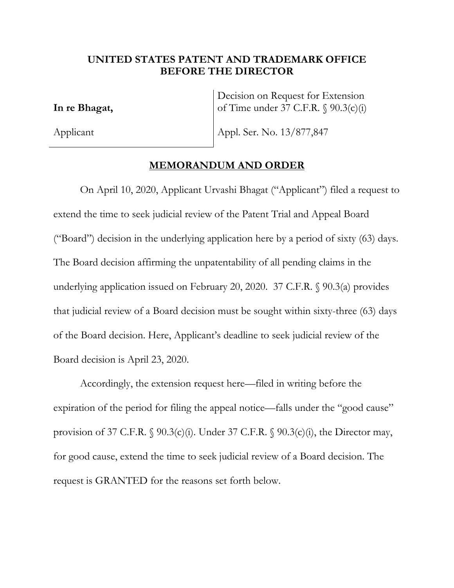## **UNITED STATES PATENT AND TRADEMARK OFFICE BEFORE THE DIRECTOR**

**In re Bhagat,** 

Applicant

Decision on Request for Extension of Time under 37 C.F.R. § 90.3(c)(i)

Appl. Ser. No. 13/877,847

## **MEMORANDUM AND ORDER**

On April 10, 2020, Applicant Urvashi Bhagat ("Applicant") filed a request to extend the time to seek judicial review of the Patent Trial and Appeal Board ("Board") decision in the underlying application here by a period of sixty (63) days. The Board decision affirming the unpatentability of all pending claims in the underlying application issued on February 20, 2020. 37 C.F.R. § 90.3(a) provides that judicial review of a Board decision must be sought within sixty-three (63) days of the Board decision. Here, Applicant's deadline to seek judicial review of the Board decision is April 23, 2020.

Accordingly, the extension request here—filed in writing before the expiration of the period for filing the appeal notice—falls under the "good cause" provision of 37 C.F.R.  $\S$  90.3(c)(i). Under 37 C.F.R.  $\S$  90.3(c)(i), the Director may, for good cause, extend the time to seek judicial review of a Board decision. The request is GRANTED for the reasons set forth below.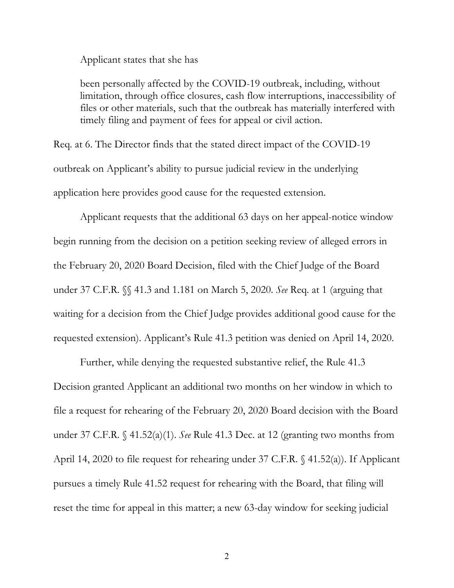Applicant states that she has

been personally affected by the COVID-19 outbreak, including, without limitation, through office closures, cash flow interruptions, inaccessibility of files or other materials, such that the outbreak has materially interfered with timely filing and payment of fees for appeal or civil action.

Req. at 6. The Director finds that the stated direct impact of the COVID-19 outbreak on Applicant's ability to pursue judicial review in the underlying application here provides good cause for the requested extension.

Applicant requests that the additional 63 days on her appeal-notice window begin running from the decision on a petition seeking review of alleged errors in the February 20, 2020 Board Decision, filed with the Chief Judge of the Board under 37 C.F.R. §§ 41.3 and 1.181 on March 5, 2020. *See* Req. at 1 (arguing that waiting for a decision from the Chief Judge provides additional good cause for the requested extension). Applicant's Rule 41.3 petition was denied on April 14, 2020.

Further, while denying the requested substantive relief, the Rule 41.3 Decision granted Applicant an additional two months on her window in which to file a request for rehearing of the February 20, 2020 Board decision with the Board under 37 C.F.R. § 41.52(a)(1). *See* Rule 41.3 Dec. at 12 (granting two months from April 14, 2020 to file request for rehearing under 37 C.F.R. § 41.52(a)). If Applicant pursues a timely Rule 41.52 request for rehearing with the Board, that filing will reset the time for appeal in this matter; a new 63-day window for seeking judicial